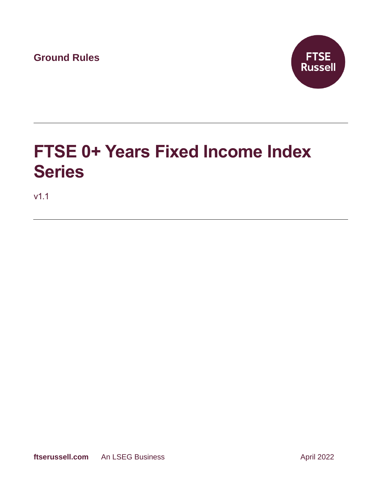**Ground Rules**



# **FTSE 0+ Years Fixed Income Index Series**

v1.1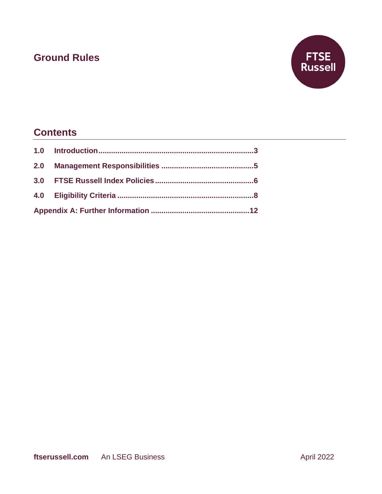## **Ground Rules**



## **Contents**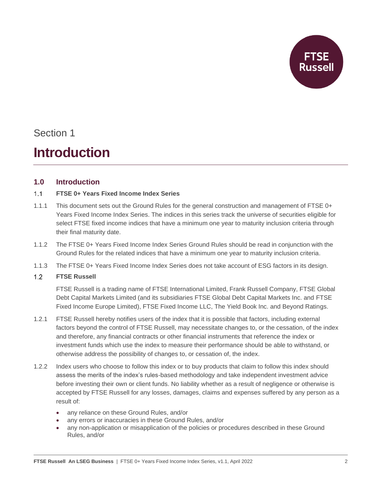

# **Introduction**

### **1.0 Introduction**

#### **FTSE 0+ Years Fixed Income Index Series**  $1.1$

- 1.1.1 This document sets out the Ground Rules for the general construction and management of FTSE 0+ Years Fixed Income Index Series. The indices in this series track the universe of securities eligible for select FTSE fixed income indices that have a minimum one year to maturity inclusion criteria through their final maturity date.
- 1.1.2 The FTSE 0+ Years Fixed Income Index Series Ground Rules should be read in conjunction with the Ground Rules for the related indices that have a minimum one year to maturity inclusion criteria.
- 1.1.3 The FTSE 0+ Years Fixed Income Index Series does not take account of ESG factors in its design.

#### $1.2$ **FTSE Russell**

FTSE Russell is a trading name of FTSE International Limited, Frank Russell Company, FTSE Global Debt Capital Markets Limited (and its subsidiaries FTSE Global Debt Capital Markets Inc. and FTSE Fixed Income Europe Limited), FTSE Fixed Income LLC, The Yield Book Inc. and Beyond Ratings.

- 1.2.1 FTSE Russell hereby notifies users of the index that it is possible that factors, including external factors beyond the control of FTSE Russell, may necessitate changes to, or the cessation, of the index and therefore, any financial contracts or other financial instruments that reference the index or investment funds which use the index to measure their performance should be able to withstand, or otherwise address the possibility of changes to, or cessation of, the index.
- 1.2.2 Index users who choose to follow this index or to buy products that claim to follow this index should assess the merits of the index's rules-based methodology and take independent investment advice before investing their own or client funds. No liability whether as a result of negligence or otherwise is accepted by FTSE Russell for any losses, damages, claims and expenses suffered by any person as a result of:
	- any reliance on these Ground Rules, and/or
	- any errors or inaccuracies in these Ground Rules, and/or
	- any non-application or misapplication of the policies or procedures described in these Ground Rules, and/or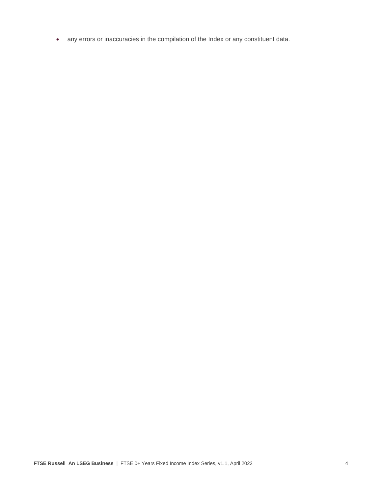• any errors or inaccuracies in the compilation of the Index or any constituent data.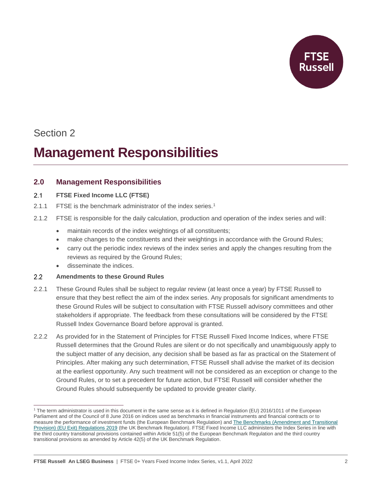

# **Management Responsibilities**

### **2.0 Management Responsibilities**

#### $2.1$ **FTSE Fixed Income LLC (FTSE)**

- 2.1.1 FTSE is the benchmark administrator of the index series.<sup>1</sup>
- 2.1.2 FTSE is responsible for the daily calculation, production and operation of the index series and will:
	- maintain records of the index weightings of all constituents;
	- make changes to the constituents and their weightings in accordance with the Ground Rules;
	- carry out the periodic index reviews of the index series and apply the changes resulting from the reviews as required by the Ground Rules;
	- disseminate the indices.

#### $2.2$ **Amendments to these Ground Rules**

- 2.2.1 These Ground Rules shall be subject to regular review (at least once a year) by FTSE Russell to ensure that they best reflect the aim of the index series. Any proposals for significant amendments to these Ground Rules will be subject to consultation with FTSE Russell advisory committees and other stakeholders if appropriate. The feedback from these consultations will be considered by the FTSE Russell Index Governance Board before approval is granted.
- 2.2.2 As provided for in the Statement of Principles for FTSE Russell Fixed Income Indices, where FTSE Russell determines that the Ground Rules are silent or do not specifically and unambiguously apply to the subject matter of any decision, any decision shall be based as far as practical on the Statement of Principles. After making any such determination, FTSE Russell shall advise the market of its decision at the earliest opportunity. Any such treatment will not be considered as an exception or change to the Ground Rules, or to set a precedent for future action, but FTSE Russell will consider whether the Ground Rules should subsequently be updated to provide greater clarity.

<sup>1</sup> The term administrator is used in this document in the same sense as it is defined in Regulation (EU) 2016/1011 of the European Parliament and of the Council of 8 June 2016 on indices used as benchmarks in financial instruments and financial contracts or to measure the performance of investment funds (the European Benchmark Regulation) an[d The Benchmarks \(Amendment and Transitional](https://www.legislation.gov.uk/uksi/2019/657/made)  [Provision\) \(EU Exit\) Regulations 2019](https://www.legislation.gov.uk/uksi/2019/657/made) (the UK Benchmark Regulation). FTSE Fixed Income LLC administers the Index Series in line with the third country transitional provisions contained within Article 51(5) of the European Benchmark Regulation and the third country transitional provisions as amended by Article 42(5) of the UK Benchmark Regulation.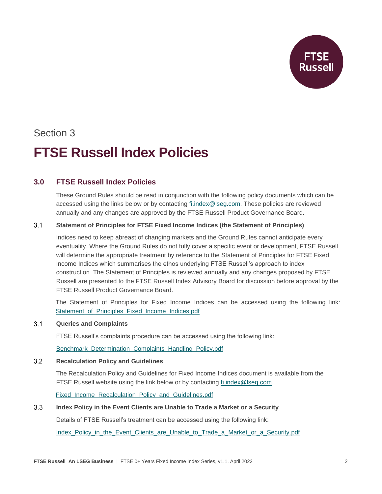

# **FTSE Russell Index Policies**

### **3.0 FTSE Russell Index Policies**

These Ground Rules should be read in conjunction with the following policy documents which can be accessed using the links below or by contacting [fi.index@lseg.com.](mailto:fi.index@lseg.com) These policies are reviewed annually and any changes are approved by the FTSE Russell Product Governance Board.

#### $3.1$ **Statement of Principles for FTSE Fixed Income Indices (the Statement of Principles)**

Indices need to keep abreast of changing markets and the Ground Rules cannot anticipate every eventuality. Where the Ground Rules do not fully cover a specific event or development, FTSE Russell will determine the appropriate treatment by reference to the Statement of Principles for FTSE Fixed Income Indices which summarises the ethos underlying FTSE Russell's approach to index construction. The Statement of Principles is reviewed annually and any changes proposed by FTSE Russell are presented to the FTSE Russell Index Advisory Board for discussion before approval by the FTSE Russell Product Governance Board.

The Statement of Principles for Fixed Income Indices can be accessed using the following link: Statement of Principles Fixed Income Indices.pdf

#### $3.1$ **Queries and Complaints**

FTSE Russell's complaints procedure can be accessed using the following link:

[Benchmark\\_Determination\\_Complaints\\_Handling\\_Policy.pdf](https://research.ftserussell.com/products/downloads/FTSE_Russell_Benchmark_Determination_Complaints-Handling_Policy.pdf?_ga=2.120744587.2089437025.1593423837-184674261.1591013590)

#### $3.2$ **Recalculation Policy and Guidelines**

The Recalculation Policy and Guidelines for Fixed Income Indices document is available from the FTSE Russell website using the link below or by contacting [fi.index@lseg.com.](mailto:fi.index@lseg.com)

[Fixed\\_Income\\_Recalculation\\_Policy\\_and\\_Guidelines.pdf](https://research.ftserussell.com/products/downloads/Fixed_Income_Recalculation_Policy_and_Guidelines.pdf)

#### $3.3$ **Index Policy in the Event Clients are Unable to Trade a Market or a Security**

Details of FTSE Russell's treatment can be accessed using the following link:

[Index\\_Policy\\_in\\_the\\_Event\\_Clients\\_are\\_Unable\\_to\\_Trade\\_a\\_Market\\_or\\_a\\_Security.pdf](https://research.ftserussell.com/products/downloads/FTSE_Russell_Index_Policy_in_the_Event_Clients_are_Unable_to_Trade_a_Market_or_a_Security.pdf)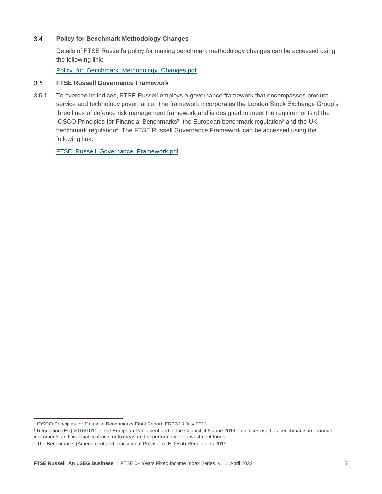#### $3.4$ **Policy for Benchmark Methodology Changes**

Details of FTSE Russell's policy for making benchmark methodology changes can be accessed using the following link:

[Policy\\_for\\_Benchmark\\_Methodology\\_Changes.pdf](https://research.ftserussell.com/products/downloads/FTSE_Russell_Policy_for_Benchmark_Methodology_Changes.pdf)

#### $3.5$ **FTSE Russell Governance Framework**

3.5.1 To oversee its indices, FTSE Russell employs a governance framework that encompasses product, service and technology governance. The framework incorporates the London Stock Exchange Group's three lines of defence risk management framework and is designed to meet the requirements of the IOSCO Principles for Financial Benchmarks<sup>2</sup>, the European benchmark regulation<sup>3</sup> and the UK benchmark regulation<sup>4</sup>. The FTSE Russell Governance Framework can be accessed using the following link:

[FTSE\\_Russell\\_Governance\\_Framework.pdf](https://research.ftserussell.com/products/downloads/FTSE_Russell_Governance_Framework.pdf)

<sup>2</sup> IOSCO Principles for Financial Benchmarks Final Report, FR07/13 July 2013

<sup>&</sup>lt;sup>3</sup> Regulation (EU) 2016/1011 of the European Parliament and of the Council of 8 June 2016 on indices used as benchmarks in financial instruments and financial contracts or to measure the performance of investment funds

<sup>4</sup> The Benchmarks (Amendment and Transitional Provision) (EU Exit) Regulations 2019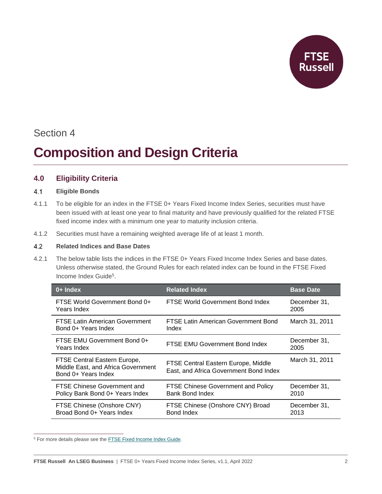

# **Composition and Design Criteria**

### **4.0 Eligibility Criteria**

#### $4.1$ **Eligible Bonds**

- 4.1.1 To be eligible for an index in the FTSE 0+ Years Fixed Income Index Series, securities must have been issued with at least one year to final maturity and have previously qualified for the related FTSE fixed income index with a minimum one year to maturity inclusion criteria.
- 4.1.2 Securities must have a remaining weighted average life of at least 1 month.

#### $4.2$ **Related Indices and Base Dates**

4.2.1 The below table lists the indices in the FTSE 0+ Years Fixed Income Index Series and base dates. Unless otherwise stated, the Ground Rules for each related index can be found in the FTSE Fixed Income Index Guide<sup>5</sup>.

| $0+$ Index                                                                                | <b>Related Index</b>                                                          | <b>Base Date</b>     |
|-------------------------------------------------------------------------------------------|-------------------------------------------------------------------------------|----------------------|
| FTSE World Government Bond 0+<br>Years Index                                              | FTSE World Government Bond Index                                              | December 31,<br>2005 |
| <b>FTSE Latin American Government</b><br>Bond 0+ Years Index                              | FTSE Latin American Government Bond<br>Index                                  | March 31, 2011       |
| FTSE EMU Government Bond 0+<br>Years Index                                                | FTSE EMU Government Bond Index                                                | December 31,<br>2005 |
| FTSE Central Eastern Europe,<br>Middle East, and Africa Government<br>Bond 0+ Years Index | FTSE Central Eastern Europe, Middle<br>East, and Africa Government Bond Index | March 31, 2011       |
| <b>FTSE Chinese Government and</b><br>Policy Bank Bond 0+ Years Index                     | <b>FTSE Chinese Government and Policy</b><br>Bank Bond Index                  | December 31,<br>2010 |
| FTSE Chinese (Onshore CNY)<br>Broad Bond 0+ Years Index                                   | FTSE Chinese (Onshore CNY) Broad<br>Bond Index                                | December 31,<br>2013 |

<sup>5</sup> For more details please see the **FTSE Fixed Income Index Guide**.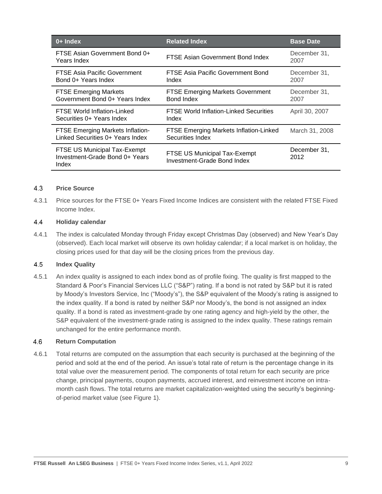| 0+ Index                                                                    | <b>Related Index</b>                                               | <b>Base Date</b>     |
|-----------------------------------------------------------------------------|--------------------------------------------------------------------|----------------------|
| FTSE Asian Government Bond 0+<br>Years Index                                | FTSE Asian Government Bond Index                                   | December 31,<br>2007 |
| <b>FTSE Asia Pacific Government</b><br>Bond 0+ Years Index                  | FTSE Asia Pacific Government Bond<br>Index                         | December 31,<br>2007 |
| <b>FTSE Emerging Markets</b><br>Government Bond 0+ Years Index              | <b>FTSE Emerging Markets Government</b><br>Bond Index              | December 31,<br>2007 |
| <b>FTSE World Inflation-Linked</b><br>Securities 0+ Years Index             | <b>FTSE World Inflation-Linked Securities</b><br>Index             | April 30, 2007       |
| <b>FTSE Emerging Markets Inflation-</b><br>Linked Securities 0+ Years Index | <b>FTSE Emerging Markets Inflation-Linked</b><br>Securities Index  | March 31, 2008       |
| FTSE US Municipal Tax-Exempt<br>Investment-Grade Bond 0+ Years<br>Index     | FTSE US Municipal Tax-Exempt<br><b>Investment-Grade Bond Index</b> | December 31,<br>2012 |

#### $4.3$ **Price Source**

4.3.1 Price sources for the FTSE 0+ Years Fixed Income Indices are consistent with the related FTSE Fixed Income Index.

#### 4.4 **Holiday calendar**

4.4.1 The index is calculated Monday through Friday except Christmas Day (observed) and New Year's Day (observed). Each local market will observe its own holiday calendar; if a local market is on holiday, the closing prices used for that day will be the closing prices from the previous day.

#### 4.5 **Index Quality**

4.5.1 An index quality is assigned to each index bond as of profile fixing. The quality is first mapped to the Standard & Poor's Financial Services LLC ("S&P") rating. If a bond is not rated by S&P but it is rated by Moody's Investors Service, Inc ("Moody's"), the S&P equivalent of the Moody's rating is assigned to the index quality. If a bond is rated by neither S&P nor Moody's, the bond is not assigned an index quality. If a bond is rated as investment-grade by one rating agency and high-yield by the other, the S&P equivalent of the investment-grade rating is assigned to the index quality. These ratings remain unchanged for the entire performance month.

#### 4.6 **Return Computation**

4.6.1 Total returns are computed on the assumption that each security is purchased at the beginning of the period and sold at the end of the period. An issue's total rate of return is the percentage change in its total value over the measurement period. The components of total return for each security are price change, principal payments, coupon payments, accrued interest, and reinvestment income on intramonth cash flows. The total returns are market capitalization-weighted using the security's beginningof-period market value (see Figure 1).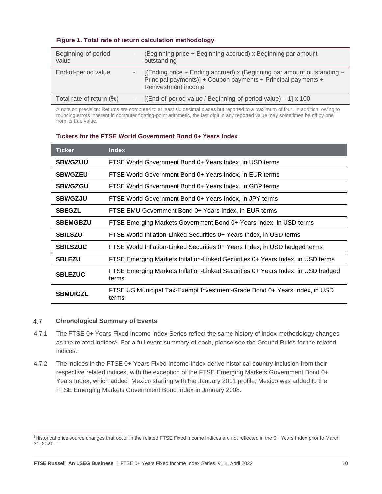| Beginning-of-period<br>value |        | (Beginning price + Beginning accrued) x Beginning par amount<br>outstanding                                                                                    |
|------------------------------|--------|----------------------------------------------------------------------------------------------------------------------------------------------------------------|
| End-of-period value          | $\sim$ | [(Ending price + Ending accrued) x (Beginning par amount outstanding -<br>Principal payments)] + Coupon payments + Principal payments +<br>Reinvestment income |
| Total rate of return (%)     |        | [(End-of-period value / Beginning-of-period value) $-1$ ] x 100                                                                                                |

### **Figure 1. Total rate of return calculation methodology**

A note on precision: Returns are computed to at least six decimal places but reported to a maximum of four. In addition, owing to rounding errors inherent in computer floating-point arithmetic, the last digit in any reported value may sometimes be off by one from its true value.

| <b>Ticker</b>   | <b>Index</b>                                                                             |
|-----------------|------------------------------------------------------------------------------------------|
| <b>SBWGZUU</b>  | FTSE World Government Bond 0+ Years Index, in USD terms                                  |
| <b>SBWGZEU</b>  | FTSE World Government Bond 0+ Years Index, in EUR terms                                  |
| <b>SBWGZGU</b>  | FTSE World Government Bond 0+ Years Index, in GBP terms                                  |
| <b>SBWGZJU</b>  | FTSE World Government Bond 0+ Years Index, in JPY terms                                  |
| <b>SBEGZL</b>   | FTSE EMU Government Bond 0+ Years Index, in EUR terms                                    |
| <b>SBEMGBZU</b> | FTSE Emerging Markets Government Bond 0+ Years Index, in USD terms                       |
| <b>SBILSZU</b>  | FTSE World Inflation-Linked Securities 0+ Years Index, in USD terms                      |
| <b>SBILSZUC</b> | FTSE World Inflation-Linked Securities 0+ Years Index, in USD hedged terms               |
| <b>SBLEZU</b>   | FTSE Emerging Markets Inflation-Linked Securities 0+ Years Index, in USD terms           |
| <b>SBLEZUC</b>  | FTSE Emerging Markets Inflation-Linked Securities 0+ Years Index, in USD hedged<br>terms |
| <b>SBMUIGZL</b> | FTSE US Municipal Tax-Exempt Investment-Grade Bond 0+ Years Index, in USD<br>terms       |

### **Tickers for the FTSE World Government Bond 0+ Years Index**

#### 4.7 **Chronological Summary of Events**

- 4.7.1 The FTSE 0+ Years Fixed Income Index Series reflect the same history of index methodology changes as the related indices<sup>6</sup>. For a full event summary of each, please see the Ground Rules for the related indices.
- 4.7.2 The indices in the FTSE 0+ Years Fixed Income Index derive historical country inclusion from their respective related indices, with the exception of the FTSE Emerging Markets Government Bond 0+ Years Index, which added Mexico starting with the January 2011 profile; Mexico was added to the FTSE Emerging Markets Government Bond Index in January 2008.

<sup>&</sup>lt;sup>6</sup>Historical price source changes that occur in the related FTSE Fixed Income Indices are not reflected in the 0+ Years Index prior to March 31, 2021.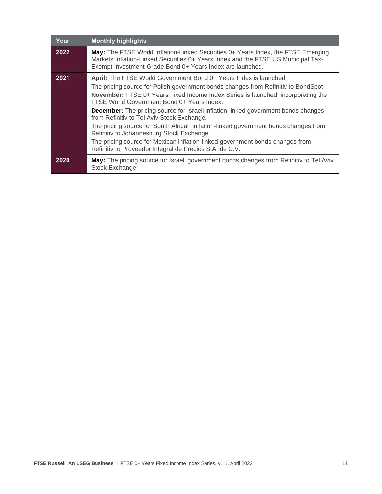| Year | <b>Monthly highlights</b>                                                                                                                                                                                                                                                                                                                                                                                                                                                                                                                                                                                                                                                                                            |
|------|----------------------------------------------------------------------------------------------------------------------------------------------------------------------------------------------------------------------------------------------------------------------------------------------------------------------------------------------------------------------------------------------------------------------------------------------------------------------------------------------------------------------------------------------------------------------------------------------------------------------------------------------------------------------------------------------------------------------|
| 2022 | May: The FTSE World Inflation-Linked Securities 0+ Years Index, the FTSE Emerging<br>Markets Inflation-Linked Securities 0+ Years Index and the FTSE US Municipal Tax-<br>Exempt Investment-Grade Bond 0+ Years Index are launched.                                                                                                                                                                                                                                                                                                                                                                                                                                                                                  |
| 2021 | April: The FTSE World Government Bond 0+ Years Index is launched.<br>The pricing source for Polish government bonds changes from Refinitiv to BondSpot.<br>November: FTSE 0+ Years Fixed Income Index Series is launched, incorporating the<br>FTSE World Government Bond 0+ Years Index.<br><b>December:</b> The pricing source for Israeli inflation-linked government bonds changes<br>from Refinitiv to Tel Aviv Stock Exchange.<br>The pricing source for South African inflation-linked government bonds changes from<br>Refinitiv to Johannesburg Stock Exchange.<br>The pricing source for Mexican inflation-linked government bonds changes from<br>Refinitiv to Proveedor Integral de Precios S.A. de C.V. |
| 2020 | May: The pricing source for Israeli government bonds changes from Refinitiv to Tel Aviv<br>Stock Exchange.                                                                                                                                                                                                                                                                                                                                                                                                                                                                                                                                                                                                           |